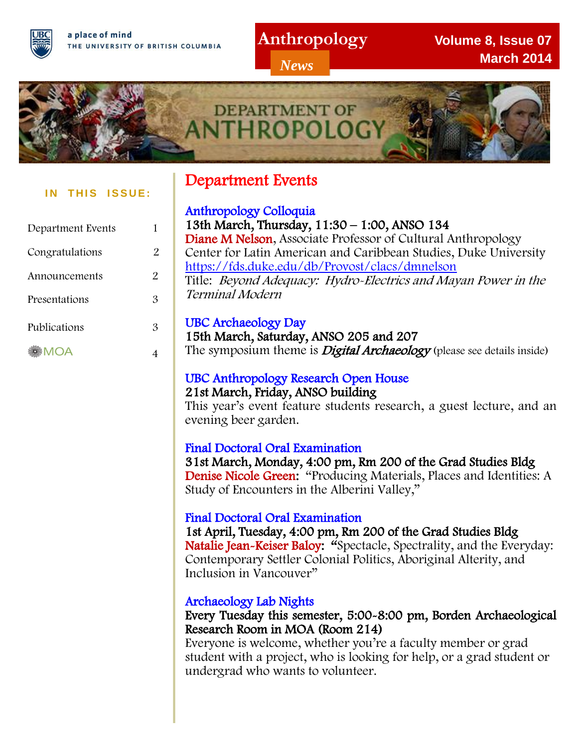a place of mind THE UNIVERSITY OF BRITISH COLUMBIA

## **Anthropology**

*News*

**Volume 8, Issue 07 March 2014**



#### **IN THIS ISSUE:**

| Department Events |    |
|-------------------|----|
| Congratulations   | 2  |
| Announcements     | 2. |
| Presentations     | З  |
| Publications      | З  |
| <b>MOA</b>        |    |

## Department Events

15th March, Saturday, ANSO 205 and 207 The symposium theme is **Digital Archaeology** (please see details inside)

## UBC Anthropology Research Open House

#### 21st March, Friday, ANSO building

This year's event feature students research, a guest lecture, and an evening beer garden.

#### Final Doctoral Oral Examination

31st March, Monday, 4:00 pm, Rm 200 of the Grad Studies Bldg Denise Nicole Green: "Producing Materials, Places and Identities: A Study of Encounters in the Alberini Valley,"

#### Final Doctoral Oral Examination

1st April, Tuesday, 4:00 pm, Rm 200 of the Grad Studies Bldg Natalie Jean-Keiser Baloy: "Spectacle, Spectrality, and the Everyday: Contemporary Settler Colonial Politics, Aboriginal Alterity, and Inclusion in Vancouver"

#### Archaeology Lab Nights

#### Every Tuesday this semester, 5:00-8:00 pm, Borden Archaeological Research Room in MOA (Room 214)

Everyone is welcome, whether you're a faculty member or grad student with a project, who is looking for help, or a grad student or undergrad who wants to volunteer.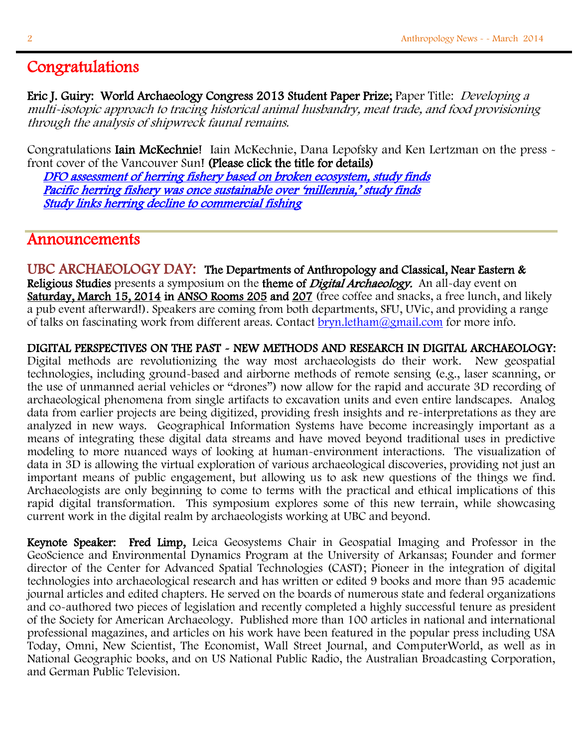### ı Congratulations

Eric J. Guiry: World Archaeology Congress 2013 Student Paper Prize; Paper Title: Developing a multi-isotopic approach to tracing historical animal husbandry, meat trade, and food provisioning through the analysis of shipwreck faunal remains.

Congratulations **Iain McKechnie!** Iain McKechnie, Dana Lepofsky and Ken Lertzman on the press front cover of the Vancouver Sun! (Please click the title for details)

 [DFO assessment of herring fishery based on broken ecosystem, study finds](http://www.vancouversun.com/technology/assessment+herring+fishery+based+broken+ecosystem+study+finds/9517568/story.html)  [Pacific herring fishery was once sustainable over 'millennia,' study finds](http://www.theprovince.com/technology/Pacific+herring+fishery+once+sustainable+over+millennia/9517611/story.html) [Study links herring decline to commercial fishing](http://www.rcinet.ca/en/2014/02/18/study-links-herring-decline-to-commercial-fishing/)

## Announcements

UBC ARCHAEOLOGY DAY: The Departments of Anthropology and Classical, Near Eastern & Religious Studies presents a symposium on the theme of *Digital Archaeology*. An all-day event on Saturday, March 15, 2014 in ANSO Rooms 205 and 207 (free coffee and snacks, a free lunch, and likely a pub event afterward!). Speakers are coming from both departments, SFU, UVic, and providing a range of talks on fascinating work from different areas. Contact bryn. letham@gmail.com for more info.

DIGITAL PERSPECTIVES ON THE PAST - NEW METHODS AND RESEARCH IN DIGITAL ARCHAEOLOGY:

Digital methods are revolutionizing the way most archaeologists do their work. New geospatial technologies, including ground-based and airborne methods of remote sensing (e.g., laser scanning, or the use of unmanned aerial vehicles or "drones") now allow for the rapid and accurate 3D recording of archaeological phenomena from single artifacts to excavation units and even entire landscapes. Analog data from earlier projects are being digitized, providing fresh insights and re-interpretations as they are analyzed in new ways. Geographical Information Systems have become increasingly important as a means of integrating these digital data streams and have moved beyond traditional uses in predictive modeling to more nuanced ways of looking at human-environment interactions. The visualization of data in 3D is allowing the virtual exploration of various archaeological discoveries, providing not just an important means of public engagement, but allowing us to ask new questions of the things we find. Archaeologists are only beginning to come to terms with the practical and ethical implications of this rapid digital transformation. This symposium explores some of this new terrain, while showcasing current work in the digital realm by archaeologists working at UBC and beyond.

Keynote Speaker: Fred Limp, Leica Geosystems Chair in Geospatial Imaging and Professor in the GeoScience and Environmental Dynamics Program at the University of Arkansas; Founder and former director of the Center for Advanced Spatial Technologies (CAST); Pioneer in the integration of digital technologies into archaeological research and has written or edited 9 books and more than 95 academic journal articles and edited chapters. He served on the boards of numerous state and federal organizations and co-authored two pieces of legislation and recently completed a highly successful tenure as president of the Society for American Archaeology. Published more than 100 articles in national and international professional magazines, and articles on his work have been featured in the popular press including USA Today, Omni, New Scientist, The Economist, Wall Street Journal, and ComputerWorld, as well as in National Geographic books, and on US National Public Radio, the Australian Broadcasting Corporation, and German Public Television.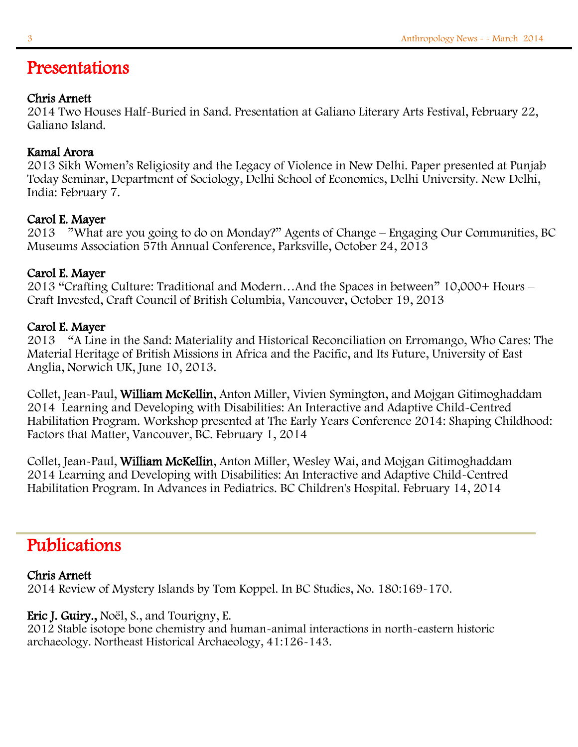## Presentations

#### Chris Arnett

2014 Two Houses Half-Buried in Sand. Presentation at Galiano Literary Arts Festival, February 22, Galiano Island.

#### Kamal Arora

2013 Sikh Women's Religiosity and the Legacy of Violence in New Delhi. Paper presented at Punjab Today Seminar, Department of Sociology, Delhi School of Economics, Delhi University. New Delhi, India: February 7.

#### Carol E. Mayer

2013 "What are you going to do on Monday?" Agents of Change – Engaging Our Communities, BC Museums Association 57th Annual Conference, Parksville, October 24, 2013

#### Carol E. Mayer

2013 "Crafting Culture: Traditional and Modern…And the Spaces in between" 10,000+ Hours – Craft Invested, Craft Council of British Columbia, Vancouver, October 19, 2013

#### Carol E. Mayer

2013 "A Line in the Sand: Materiality and Historical Reconciliation on Erromango, Who Cares: The Material Heritage of British Missions in Africa and the Pacific, and Its Future, University of East Anglia, Norwich UK, June 10, 2013.

Collet, Jean-Paul, William McKellin, Anton Miller, Vivien Symington, and Mojgan Gitimoghaddam 2014 Learning and Developing with Disabilities: An Interactive and Adaptive Child-Centred Habilitation Program. Workshop presented at The Early Years Conference 2014: Shaping Childhood: Factors that Matter, Vancouver, BC. February 1, 2014

Collet, Jean-Paul, William McKellin, Anton Miller, Wesley Wai, and Mojgan Gitimoghaddam 2014 Learning and Developing with Disabilities: An Interactive and Adaptive Child-Centred Habilitation Program. In Advances in Pediatrics. BC Children's Hospital. February 14, 2014

# Publications

#### Chris Arnett

2014 Review of Mystery Islands by Tom Koppel. In BC Studies, No. 180:169-170.

#### Eric J. Guiry., Noël, S., and Tourigny, E.

2012 Stable isotope bone chemistry and human-animal interactions in north-eastern historic archaeology. Northeast Historical Archaeology, 41:126-143.